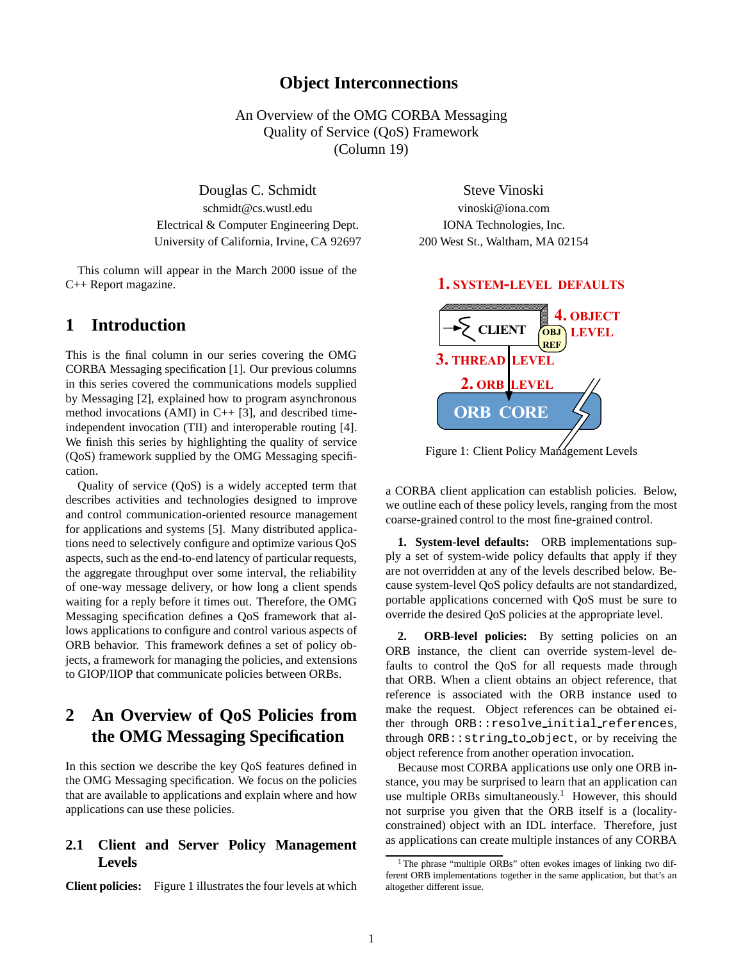## **Object Interconnections**

An Overview of the OMG CORBA Messaging Quality of Service (QoS) Framework (Column 19)

Douglas C. Schmidt Steve Vinoski schmidt@cs.wustl.edu vinoski@iona.com Electrical & Computer Engineering Dept. **IONA Technologies**, Inc. University of California, Irvine, CA 92697 200 West St., Waltham, MA 02154

This column will appear in the March 2000 issue of the C++ Report magazine.

## **1 Introduction**

This is the final column in our series covering the OMG CORBA Messaging specification [1]. Our previous columns in this series covered the communications models supplied by Messaging [2], explained how to program asynchronous method invocations (AMI) in  $C++$  [3], and described timeindependent invocation (TII) and interoperable routing [4]. We finish this series by highlighting the quality of service (QoS) framework supplied by the OMG Messaging specification.

Quality of service (QoS) is a widely accepted term that describes activities and technologies designed to improve and control communication-oriented resource management for applications and systems [5]. Many distributed applications need to selectively configure and optimize various QoS aspects, such as the end-to-end latency of particular requests, the aggregate throughput over some interval, the reliability of one-way message delivery, or how long a client spends waiting for a reply before it times out. Therefore, the OMG Messaging specification defines a QoS framework that allows applications to configure and control various aspects of ORB behavior. This framework defines a set of policy objects, a framework for managing the policies, and extensions to GIOP/IIOP that communicate policies between ORBs.

# **2 An Overview of QoS Policies from the OMG Messaging Specification**

In this section we describe the key QoS features defined in the OMG Messaging specification. We focus on the policies that are available to applications and explain where and how applications can use these policies.

## **2.1 Client and Server Policy Management Levels**

**Client policies:** Figure 1 illustrates the four levels at which

#### 1. SYSTEM-LEVEL DEFAULTS



a CORBA client application can establish policies. Below, we outline each of these policy levels, ranging from the most coarse-grained control to the most fine-grained control.

**1. System-level defaults:** ORB implementations supply a set of system-wide policy defaults that apply if they are not overridden at any of the levels described below. Because system-level QoS policy defaults are not standardized, portable applications concerned with QoS must be sure to override the desired QoS policies at the appropriate level.

2. **ORB-level policies:** By setting policies on an ORB instance, the client can override system-level defaults to control the QoS for all requests made through that ORB. When a client obtains an object reference, that reference is associated with the ORB instance used to make the request. Object references can be obtained either through ORB::resolve initial references, through ORB::string to object, or by receiving the object reference from another operation invocation.

Because most CORBA applications use only one ORB instance, you may be surprised to learn that an application can use multiple ORBs simultaneously.<sup>1</sup> However, this should not surprise you given that the ORB itself is a (localityconstrained) object with an IDL interface. Therefore, just as applications can create multiple instances of any CORBA

<sup>&</sup>lt;sup>1</sup>The phrase "multiple ORBs" often evokes images of linking two different ORB implementations together in the same application, but that's an altogether different issue.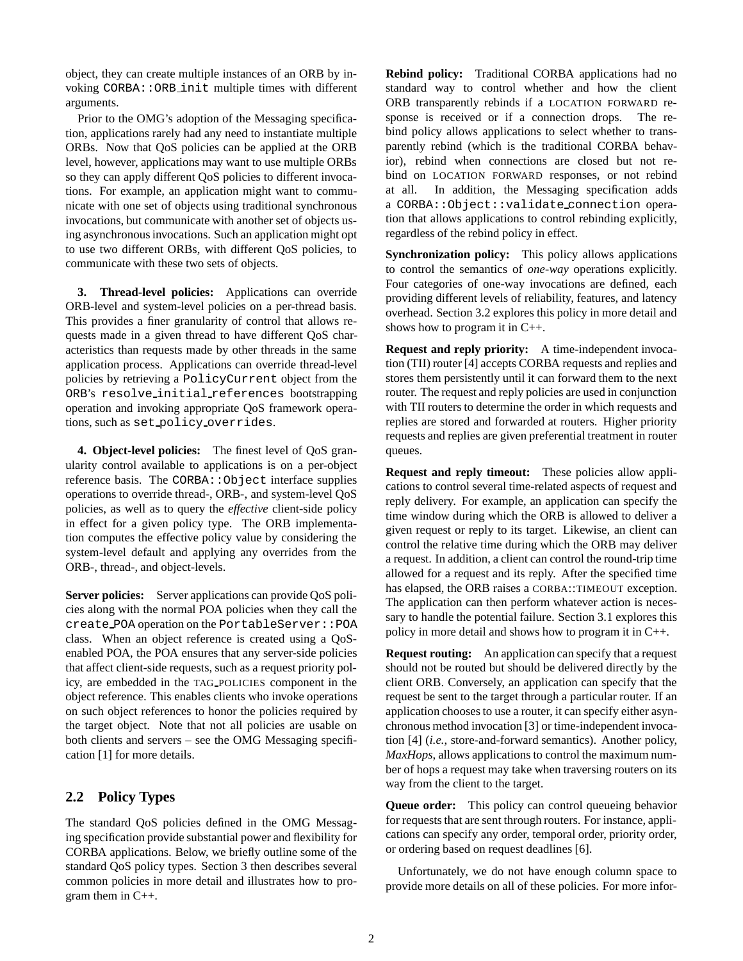object, they can create multiple instances of an ORB by invoking CORBA::ORB init multiple times with different arguments.

Prior to the OMG's adoption of the Messaging specification, applications rarely had any need to instantiate multiple ORBs. Now that QoS policies can be applied at the ORB level, however, applications may want to use multiple ORBs so they can apply different QoS policies to different invocations. For example, an application might want to communicate with one set of objects using traditional synchronous invocations, but communicate with another set of objects using asynchronous invocations. Such an application might opt to use two different ORBs, with different QoS policies, to communicate with these two sets of objects.

**3. Thread-level policies:** Applications can override ORB-level and system-level policies on a per-thread basis. This provides a finer granularity of control that allows requests made in a given thread to have different QoS characteristics than requests made by other threads in the same application process. Applications can override thread-level policies by retrieving a PolicyCurrent object from the ORB's resolve initial references bootstrapping operation and invoking appropriate QoS framework operations, such as set policy overrides.

**4. Object-level policies:** The finest level of QoS granularity control available to applications is on a per-object reference basis. The CORBA:: Object interface supplies operations to override thread-, ORB-, and system-level QoS policies, as well as to query the *effective* client-side policy in effect for a given policy type. The ORB implementation computes the effective policy value by considering the system-level default and applying any overrides from the ORB-, thread-, and object-levels.

**Server policies:** Server applications can provide QoS policies along with the normal POA policies when they call the create POA operation on the PortableServer::POA class. When an object reference is created using a QoSenabled POA, the POA ensures that any server-side policies that affect client-side requests, such as a request priority policy, are embedded in the TAG POLICIES component in the object reference. This enables clients who invoke operations on such object references to honor the policies required by the target object. Note that not all policies are usable on both clients and servers – see the OMG Messaging specification [1] for more details.

## **2.2 Policy Types**

The standard QoS policies defined in the OMG Messaging specification provide substantial power and flexibility for CORBA applications. Below, we briefly outline some of the standard QoS policy types. Section 3 then describes several common policies in more detail and illustrates how to program them in C++.

**Rebind policy:** Traditional CORBA applications had no standard way to control whether and how the client ORB transparently rebinds if a LOCATION FORWARD response is received or if a connection drops. The rebind policy allows applications to select whether to transparently rebind (which is the traditional CORBA behavior), rebind when connections are closed but not rebind on LOCATION FORWARD responses, or not rebind at all. In addition, the Messaging specification adds a CORBA::Object::validate connection operation that allows applications to control rebinding explicitly, regardless of the rebind policy in effect.

**Synchronization policy:** This policy allows applications to control the semantics of *one-way* operations explicitly. Four categories of one-way invocations are defined, each providing different levels of reliability, features, and latency overhead. Section 3.2 explores this policy in more detail and shows how to program it in C++.

**Request and reply priority:** A time-independent invocation (TII) router [4] accepts CORBA requests and replies and stores them persistently until it can forward them to the next router. The request and reply policies are used in conjunction with TII routers to determine the order in which requests and replies are stored and forwarded at routers. Higher priority requests and replies are given preferential treatment in router queues.

**Request and reply timeout:** These policies allow applications to control several time-related aspects of request and reply delivery. For example, an application can specify the time window during which the ORB is allowed to deliver a given request or reply to its target. Likewise, an client can control the relative time during which the ORB may deliver a request. In addition, a client can control the round-trip time allowed for a request and its reply. After the specified time has elapsed, the ORB raises a CORBA::TIMEOUT exception. The application can then perform whatever action is necessary to handle the potential failure. Section 3.1 explores this policy in more detail and shows how to program it in C++.

**Request routing:** An application can specify that a request should not be routed but should be delivered directly by the client ORB. Conversely, an application can specify that the request be sent to the target through a particular router. If an application chooses to use a router, it can specify either asynchronous method invocation [3] or time-independent invocation [4] (*i.e.*, store-and-forward semantics). Another policy, *MaxHops*, allows applications to control the maximum number of hops a request may take when traversing routers on its way from the client to the target.

**Queue order:** This policy can control queueing behavior for requests that are sent through routers. For instance, applications can specify any order, temporal order, priority order, or ordering based on request deadlines [6].

Unfortunately, we do not have enough column space to provide more details on all of these policies. For more infor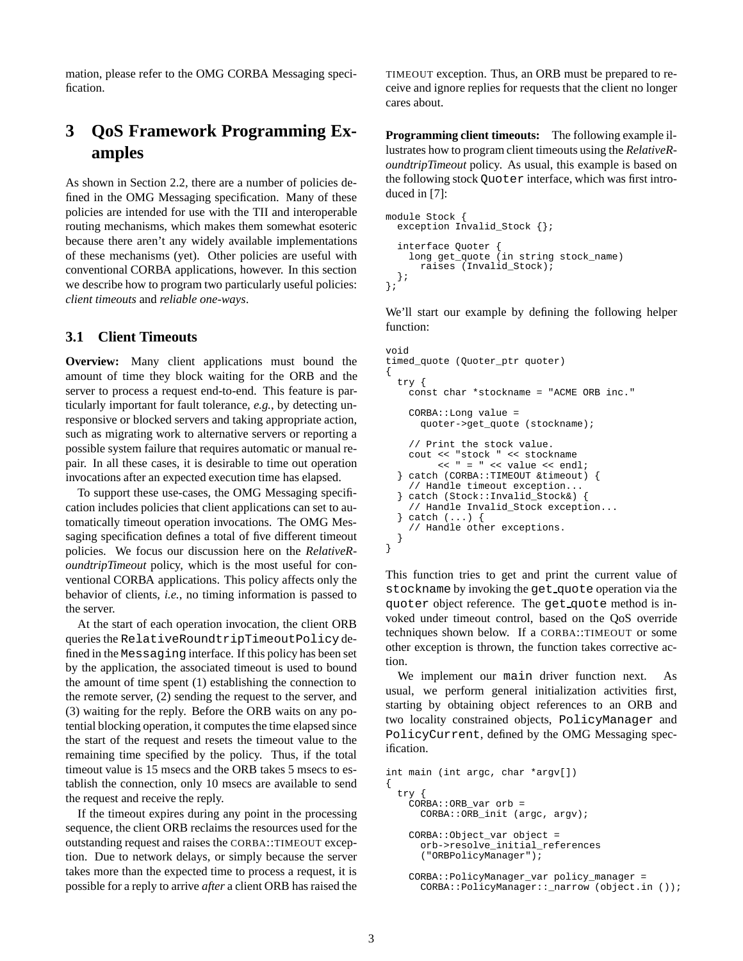mation, please refer to the OMG CORBA Messaging specification.

# **3 QoS Framework Programming Examples**

As shown in Section 2.2, there are a number of policies defined in the OMG Messaging specification. Many of these policies are intended for use with the TII and interoperable routing mechanisms, which makes them somewhat esoteric because there aren't any widely available implementations of these mechanisms (yet). Other policies are useful with conventional CORBA applications, however. In this section we describe how to program two particularly useful policies: *client timeouts* and *reliable one-ways*.

### **3.1 Client Timeouts**

**Overview:** Many client applications must bound the amount of time they block waiting for the ORB and the server to process a request end-to-end. This feature is particularly important for fault tolerance, *e.g.*, by detecting unresponsive or blocked servers and taking appropriate action, such as migrating work to alternative servers or reporting a possible system failure that requires automatic or manual repair. In all these cases, it is desirable to time out operation invocations after an expected execution time has elapsed.

To support these use-cases, the OMG Messaging specification includes policies that client applications can set to automatically timeout operation invocations. The OMG Messaging specification defines a total of five different timeout policies. We focus our discussion here on the *RelativeRoundtripTimeout* policy, which is the most useful for conventional CORBA applications. This policy affects only the behavior of clients, *i.e.*, no timing information is passed to the server.

At the start of each operation invocation, the client ORB queries the RelativeRoundtripTimeoutPolicy defined in the Messaging interface. If this policy has been set by the application, the associated timeout is used to bound the amount of time spent (1) establishing the connection to the remote server, (2) sending the request to the server, and (3) waiting for the reply. Before the ORB waits on any potential blocking operation, it computes the time elapsed since the start of the request and resets the timeout value to the remaining time specified by the policy. Thus, if the total timeout value is 15 msecs and the ORB takes 5 msecs to establish the connection, only 10 msecs are available to send the request and receive the reply.

If the timeout expires during any point in the processing sequence, the client ORB reclaims the resources used for the outstanding request and raises the CORBA::TIMEOUT exception. Due to network delays, or simply because the server takes more than the expected time to process a request, it is possible for a reply to arrive *after* a client ORB has raised the TIMEOUT exception. Thus, an ORB must be prepared to receive and ignore replies for requests that the client no longer cares about.

**Programming client timeouts:** The following example illustrates how to program client timeouts using the *RelativeRoundtripTimeout* policy. As usual, this example is based on the following stock Quoter interface, which was first introduced in [7]:

```
module Stock {
 exception Invalid_Stock {};
  interface Quoter {
    long get_quote (in string stock_name)
      raises (Invalid_Stock);
 };
};
```
We'll start our example by defining the following helper function:

```
void
timed_quote (Quoter_ptr quoter)
\mathcal{L}try {
    const char *stockname = "ACME ORB inc."
    CORBA::Long value =
      quoter->get_quote (stockname);
    // Print the stock value.
    cout << "stock " << stockname
         << " = " << value << endl;
  } catch (CORBA::TIMEOUT &timeout) {
    // Handle timeout exception...
   catch (Stock::Invalid_Stock&)
    // Handle Invalid_Stock exception...
  } catch (...) {
    // Handle other exceptions.
 }
}
```
This function tries to get and print the current value of stockname by invoking the get quote operation via the quoter object reference. The get quote method is invoked under timeout control, based on the QoS override techniques shown below. If a CORBA::TIMEOUT or some other exception is thrown, the function takes corrective action.

We implement our main driver function next. As usual, we perform general initialization activities first, starting by obtaining object references to an ORB and two locality constrained objects, PolicyManager and PolicyCurrent, defined by the OMG Messaging specification.

```
int main (int argc, char *argv[])
{
 try {
   CORBA::ORB_var orb =
     CORBA::ORB_init (argc, argv);
    CORBA::Object_var object =
      orb->resolve_initial_references
      ("ORBPolicyManager");
    CORBA::PolicyManager_var policy_manager =
     CORBA::PolicyManager::_narrow (object.in ());
```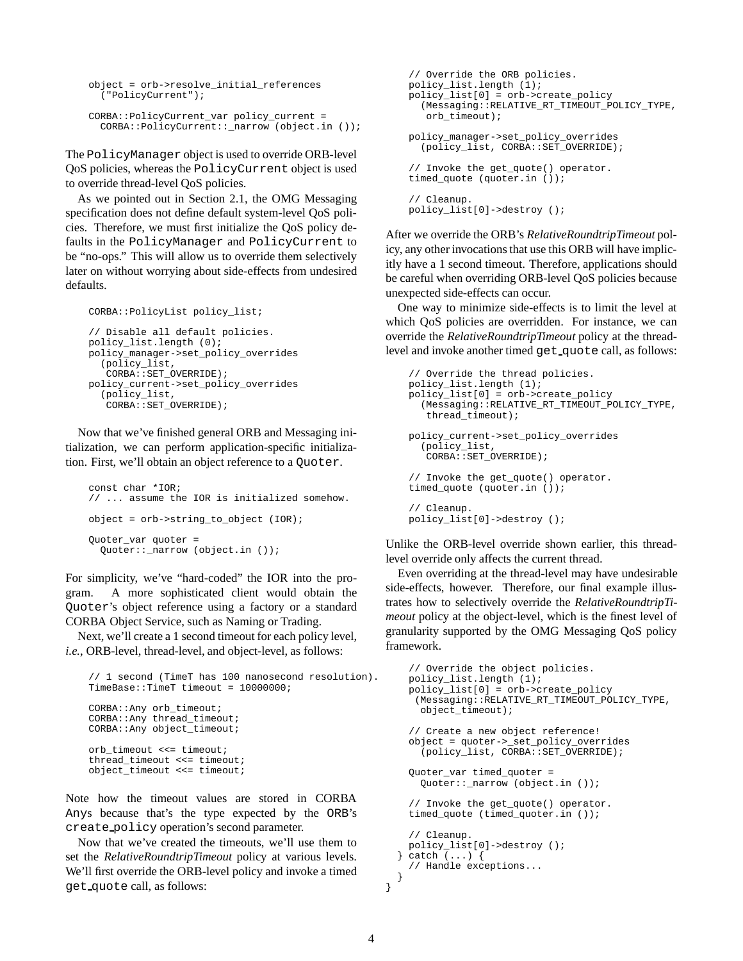```
object = orb->resolve_initial_references
  ("PolicyCurrent");
CORBA::PolicyCurrent_var policy_current =
  CORBA::PolicyCurrent::_narrow (object.in ());
```
The PolicyManager object is used to override ORB-level QoS policies, whereas the PolicyCurrent object is used to override thread-level QoS policies.

As we pointed out in Section 2.1, the OMG Messaging specification does not define default system-level QoS policies. Therefore, we must first initialize the QoS policy defaults in the PolicyManager and PolicyCurrent to be "no-ops." This will allow us to override them selectively later on without worrying about side-effects from undesired defaults.

```
CORBA::PolicyList policy_list;
// Disable all default policies.
policy_list.length (0);
policy_manager->set_policy_overrides
  (policy_list,
   CORBA::SET_OVERRIDE);
policy_current->set_policy_overrides
  (policy_list,
   CORBA::SET_OVERRIDE);
```
Now that we've finished general ORB and Messaging initialization, we can perform application-specific initialization. First, we'll obtain an object reference to a Quoter.

```
const char *IOR;
// ... assume the IOR is initialized somehow.
object = orb->string_to_object (IOR);
Quoter_var quoter =
 Quoter::_narrow (object.in ());
```
For simplicity, we've "hard-coded" the IOR into the program. A more sophisticated client would obtain the Quoter's object reference using a factory or a standard CORBA Object Service, such as Naming or Trading.

Next, we'll create a 1 second timeout for each policy level, *i.e.*, ORB-level, thread-level, and object-level, as follows:

```
// 1 second (TimeT has 100 nanosecond resolution).
TimeBase::TimeT timeout = 10000000;
CORBA::Any orb_timeout;
CORBA::Any thread_timeout;
CORBA::Any object_timeout;
orb_timeout <<= timeout;
thread timeout <<= timeout;
object_timeout <<= timeout;
```
Note how the timeout values are stored in CORBA Anys because that's the type expected by the ORB's create policy operation's second parameter.

Now that we've created the timeouts, we'll use them to set the *RelativeRoundtripTimeout* policy at various levels. We'll first override the ORB-level policy and invoke a timed get quote call, as follows:

```
// Override the ORB policies.
policy_list.length (1);
policy_list[0] = orb->create_policy
  (Messaging::RELATIVE_RT_TIMEOUT_POLICY_TYPE,
   orb_timeout);
policy_manager->set_policy_overrides
  (policy_list, CORBA::SET_OVERRIDE);
// Invoke the get_quote() operator.
timed_quote (quoter.in ());
// Cleanup.
policy_list[0]->destroy ();
```
After we override the ORB's *RelativeRoundtripTimeout* policy, any other invocations that use this ORB will have implicitly have a 1 second timeout. Therefore, applications should be careful when overriding ORB-level QoS policies because unexpected side-effects can occur.

One way to minimize side-effects is to limit the level at which QoS policies are overridden. For instance, we can override the *RelativeRoundtripTimeout* policy at the threadlevel and invoke another timed get quote call, as follows:

```
// Override the thread policies.
policy_list.length (1);
policy_list[0] = orb->create_policy
  (Messaging::RELATIVE_RT_TIMEOUT_POLICY_TYPE,
   thread_timeout);
policy_current->set_policy_overrides
  (policy_list,
   CORBA::SET_OVERRIDE);
// Invoke the get_quote() operator.
timed_quote (quoter.in ());
// Cleanup.
policy_list[0]->destroy ();
```
Unlike the ORB-level override shown earlier, this threadlevel override only affects the current thread.

Even overriding at the thread-level may have undesirable side-effects, however. Therefore, our final example illustrates how to selectively override the *RelativeRoundtripTimeout* policy at the object-level, which is the finest level of granularity supported by the OMG Messaging QoS policy framework.

```
// Override the object policies.
  policy_list.length (1);
  policy_list[0] = orb->create_policy
   (Messaging::RELATIVE_RT_TIMEOUT_POLICY_TYPE,
    object_timeout);
  // Create a new object reference!
  object = quoter->_set_policy_overrides
    (policy_list, CORBA::SET_OVERRIDE);
  Quoter var timed quoter =
    Quoter::_narrow (object.in ());
  // Invoke the get_quote() operator.
  timed_quote (timed_quoter.in ());
  // Cleanup.
 policy_list[0]->destroy ();
} catch (...) {
  // Handle exceptions...
```
} }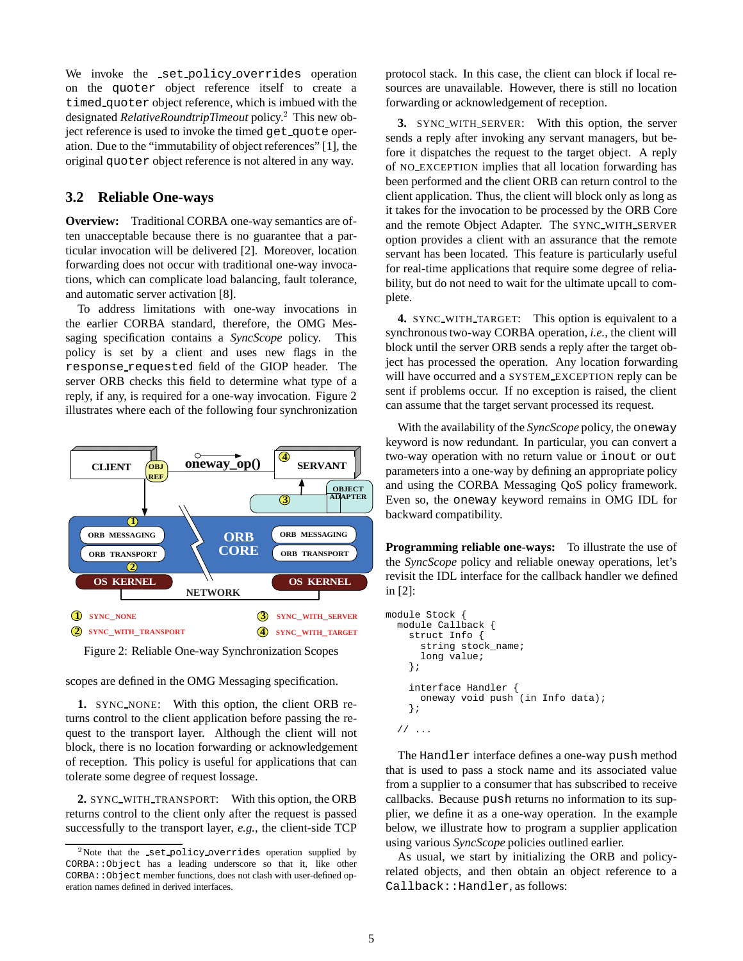We invoke the set-policy-overrides operation on the quoter object reference itself to create a timed quoter object reference, which is imbued with the designated *RelativeRoundtripTimeout* policy.<sup>2</sup> This new object reference is used to invoke the timed get\_quote operation. Due to the "immutability of object references" [1], the original quoter object reference is not altered in any way.

### **3.2 Reliable One-ways**

**Overview:** Traditional CORBA one-way semantics are often unacceptable because there is no guarantee that a particular invocation will be delivered [2]. Moreover, location forwarding does not occur with traditional one-way invocations, which can complicate load balancing, fault tolerance, and automatic server activation [8].

To address limitations with one-way invocations in the earlier CORBA standard, therefore, the OMG Messaging specification contains a *SyncScope* policy. This policy is set by a client and uses new flags in the response requested field of the GIOP header. The server ORB checks this field to determine what type of a reply, if any, is required for a one-way invocation. Figure 2 illustrates where each of the following four synchronization



Figure 2: Reliable One-way Synchronization Scopes

scopes are defined in the OMG Messaging specification.

**1.** SYNC NONE: With this option, the client ORB returns control to the client application before passing the request to the transport layer. Although the client will not block, there is no location forwarding or acknowledgement of reception. This policy is useful for applications that can tolerate some degree of request lossage.

**2.** SYNC WITH TRANSPORT: With this option, the ORB returns control to the client only after the request is passed successfully to the transport layer, *e.g.*, the client-side TCP protocol stack. In this case, the client can block if local resources are unavailable. However, there is still no location forwarding or acknowledgement of reception.

**3.** SYNC WITH SERVER: With this option, the server sends a reply after invoking any servant managers, but before it dispatches the request to the target object. A reply of NO EXCEPTION implies that all location forwarding has been performed and the client ORB can return control to the client application. Thus, the client will block only as long as it takes for the invocation to be processed by the ORB Core and the remote Object Adapter. The SYNC WITH SERVER option provides a client with an assurance that the remote servant has been located. This feature is particularly useful for real-time applications that require some degree of reliability, but do not need to wait for the ultimate upcall to complete.

**4.** SYNC WITH TARGET: This option is equivalent to a synchronous two-way CORBA operation, *i.e.*, the client will block until the server ORB sends a reply after the target object has processed the operation. Any location forwarding will have occurred and a SYSTEM EXCEPTION reply can be sent if problems occur. If no exception is raised, the client can assume that the target servant processed its request.

With the availability of the *SyncScope* policy, the oneway keyword is now redundant. In particular, you can convert a two-way operation with no return value or inout or out parameters into a one-way by defining an appropriate policy and using the CORBA Messaging QoS policy framework. Even so, the oneway keyword remains in OMG IDL for backward compatibility.

**Programming reliable one-ways:** To illustrate the use of the *SyncScope* policy and reliable oneway operations, let's revisit the IDL interface for the callback handler we defined in [2]:

```
module Stock {
 module Callback {
    struct Info
      string stock_name;
      long value;
    };
    interface Handler {
      oneway void push (in Info data);
    };
  // ...
```
The Handler interface defines a one-way push method that is used to pass a stock name and its associated value from a supplier to a consumer that has subscribed to receive callbacks. Because push returns no information to its supplier, we define it as a one-way operation. In the example below, we illustrate how to program a supplier application using various *SyncScope* policies outlined earlier.

As usual, we start by initializing the ORB and policyrelated objects, and then obtain an object reference to a Callback::Handler, as follows:

<sup>&</sup>lt;sup>2</sup>Note that the set\_policy\_overrides operation supplied by CORBA::Object has a leading underscore so that it, like other CORBA::Object member functions, does not clash with user-defined operation names defined in derived interfaces.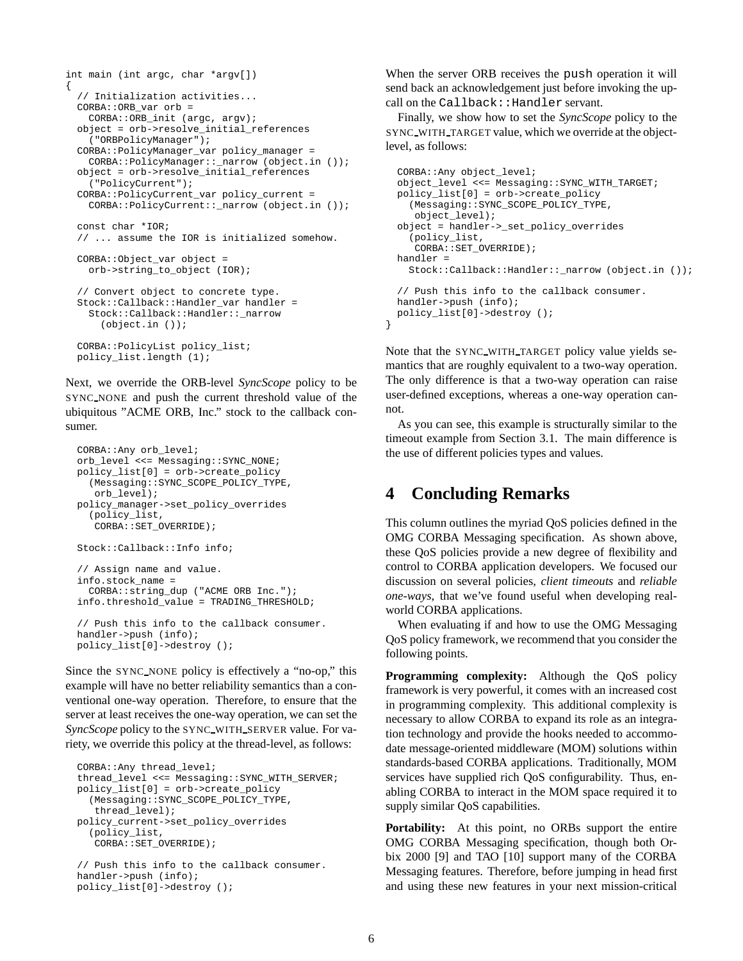```
int main (int argc, char *argv[])
{
  // Initialization activities...
 CORBA::ORB_var orb =
   CORBA::ORB_init (argc, argv);
 object = orb->resolve_initial_references
   ("ORBPolicyManager");
  CORBA::PolicyManager_var policy_manager =
    CORBA::PolicyManager::_narrow (object.in ());
  object = orb->resolve_initial_references
    ("PolicyCurrent");
  CORBA::PolicyCurrent_var policy_current =
   CORBA::PolicyCurrent::_narrow (object.in ());
  const char *IOR;
  // ... assume the IOR is initialized somehow.
 CORBA::Object_var object =
    orb->string_to_object (IOR);
  // Convert object to concrete type.
  Stock::Callback::Handler_var handler =
    Stock::Callback::Handler::_narrow
      (object.in ());
 CORBA::PolicyList policy_list;
 policy_list.length (1);
```
Next, we override the ORB-level *SyncScope* policy to be SYNC NONE and push the current threshold value of the ubiquitous "ACME ORB, Inc." stock to the callback consumer.

```
CORBA::Any orb_level;
orb_level <<= Messaging::SYNC_NONE;
policy_list[0] = orb->create_policy
  (Messaging::SYNC_SCOPE_POLICY_TYPE,
   orb_level);
policy_manager->set_policy_overrides
  (policy_list,
   CORBA::SET_OVERRIDE);
Stock::Callback::Info info;
// Assign name and value.
info.stock_name =
  CORBA::string_dup ("ACME ORB Inc.");
info.threshold_value = TRADING_THRESHOLD;
// Push this info to the callback consumer.
```
handler->push (info); policy\_list[0]->destroy ();

Since the SYNC NONE policy is effectively a "no-op," this example will have no better reliability semantics than a conventional one-way operation. Therefore, to ensure that the server at least receives the one-way operation, we can set the *SyncScope* policy to the SYNC WITH SERVER value. For variety, we override this policy at the thread-level, as follows:

```
CORBA::Any thread_level;
thread_level <<= Messaging::SYNC_WITH_SERVER;
policy_list[0] = orb->create_policy
  (Messaging::SYNC_SCOPE_POLICY_TYPE,
   thread_level);
policy_current->set_policy_overrides
  (policy_list,
   CORBA::SET_OVERRIDE);
// Push this info to the callback consumer.
handler->push (info);
```

```
policy_list[0]->destroy ();
```
When the server ORB receives the push operation it will send back an acknowledgement just before invoking the upcall on the Callback:: Handler servant.

Finally, we show how to set the *SyncScope* policy to the SYNC WITH TARGET value, which we override at the objectlevel, as follows:

```
CORBA::Any object_level;
 object_level <<= Messaging::SYNC_WITH_TARGET;
 policy_list[0] = orb->create_policy
    (Messaging::SYNC_SCOPE_POLICY_TYPE,
    object_level);
 object = handler->_set_policy_overrides
    (policy_list,
    CORBA::SET_OVERRIDE);
 handler =
   Stock::Callback::Handler::_narrow (object.in ());
  // Push this info to the callback consumer.
 handler->push (info);
 policy_list[0]->destroy ();
}
```
Note that the SYNC WITH TARGET policy value yields semantics that are roughly equivalent to a two-way operation. The only difference is that a two-way operation can raise user-defined exceptions, whereas a one-way operation cannot.

As you can see, this example is structurally similar to the timeout example from Section 3.1. The main difference is the use of different policies types and values.

# **4 Concluding Remarks**

This column outlines the myriad QoS policies defined in the OMG CORBA Messaging specification. As shown above, these QoS policies provide a new degree of flexibility and control to CORBA application developers. We focused our discussion on several policies, *client timeouts* and *reliable one-ways*, that we've found useful when developing realworld CORBA applications.

When evaluating if and how to use the OMG Messaging QoS policy framework, we recommend that you consider the following points.

**Programming complexity:** Although the QoS policy framework is very powerful, it comes with an increased cost in programming complexity. This additional complexity is necessary to allow CORBA to expand its role as an integration technology and provide the hooks needed to accommodate message-oriented middleware (MOM) solutions within standards-based CORBA applications. Traditionally, MOM services have supplied rich QoS configurability. Thus, enabling CORBA to interact in the MOM space required it to supply similar QoS capabilities.

**Portability:** At this point, no ORBs support the entire OMG CORBA Messaging specification, though both Orbix 2000 [9] and TAO [10] support many of the CORBA Messaging features. Therefore, before jumping in head first and using these new features in your next mission-critical